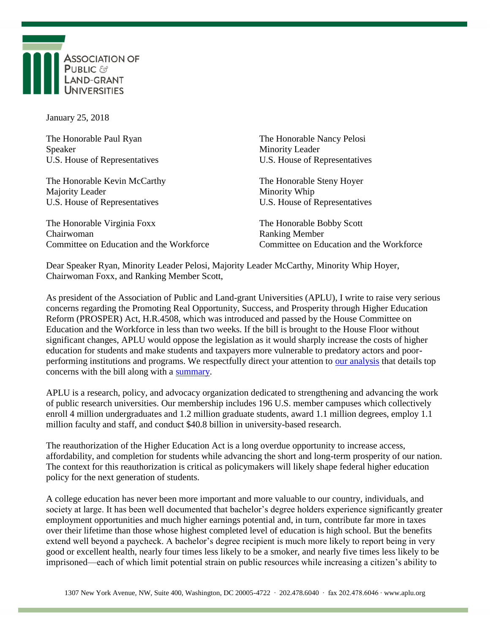

January 25, 2018

| The Honorable Paul Ryan                  | The Honorable Nancy Pelosi               |
|------------------------------------------|------------------------------------------|
| Speaker                                  | <b>Minority Leader</b>                   |
| U.S. House of Representatives            | U.S. House of Representatives            |
| The Honorable Kevin McCarthy             | The Honorable Steny Hoyer                |
| Majority Leader                          | Minority Whip                            |
| U.S. House of Representatives            | U.S. House of Representatives            |
| The Honorable Virginia Foxx              | The Honorable Bobby Scott                |
| Chairwoman                               | <b>Ranking Member</b>                    |
| Committee on Education and the Workforce | Committee on Education and the Workforce |

Dear Speaker Ryan, Minority Leader Pelosi, Majority Leader McCarthy, Minority Whip Hoyer, Chairwoman Foxx, and Ranking Member Scott,

As president of the Association of Public and Land-grant Universities (APLU), I write to raise very serious concerns regarding the Promoting Real Opportunity, Success, and Prosperity through Higher Education Reform (PROSPER) Act, H.R.4508, which was introduced and passed by the House Committee on Education and the Workforce in less than two weeks. If the bill is brought to the House Floor without significant changes, APLU would oppose the legislation as it would sharply increase the costs of higher education for students and make students and taxpayers more vulnerable to predatory actors and poorperforming institutions and programs. We respectfully direct your attention to [our analysis](http://www.aplu.org/members/councils/governmental-affairs/CGA-library/aplu-top-concerns-with-the-prosper-act/file?_cldee=Y2xpbmR3YXJtQGFwbHUub3Jn&recipientid=contact-1db66c586887e7118113fc15b4286c00-e795f8d12a4a4ae2af031609c423e699&esid=052d0c8c-4e01-e811-811f-c4346bac3fa4) that details top concerns with the bill along with a [summary.](http://www.aplu.org/members/councils/governmental-affairs/CGA-library/summary-of-aplu-top-concerns-with-prosper-act/file?_cldee=Y2xpbmR3YXJtQGFwbHUub3Jn&recipientid=contact-1db66c586887e7118113fc15b4286c00-e795f8d12a4a4ae2af031609c423e699&esid=052d0c8c-4e01-e811-811f-c4346bac3fa4)

APLU is a research, policy, and advocacy organization dedicated to strengthening and advancing the work of public research universities. Our membership includes 196 U.S. member campuses which collectively enroll 4 million undergraduates and 1.2 million graduate students, award 1.1 million degrees, employ 1.1 million faculty and staff, and conduct \$40.8 billion in university-based research.

The reauthorization of the Higher Education Act is a long overdue opportunity to increase access, affordability, and completion for students while advancing the short and long-term prosperity of our nation. The context for this reauthorization is critical as policymakers will likely shape federal higher education policy for the next generation of students.

A college education has never been more important and more valuable to our country, individuals, and society at large. It has been well documented that bachelor's degree holders experience significantly greater employment opportunities and much higher earnings potential and, in turn, contribute far more in taxes over their lifetime than those whose highest completed level of education is high school. But the benefits extend well beyond a paycheck. A bachelor's degree recipient is much more likely to report being in very good or excellent health, nearly four times less likely to be a smoker, and nearly five times less likely to be imprisoned—each of which limit potential strain on public resources while increasing a citizen's ability to